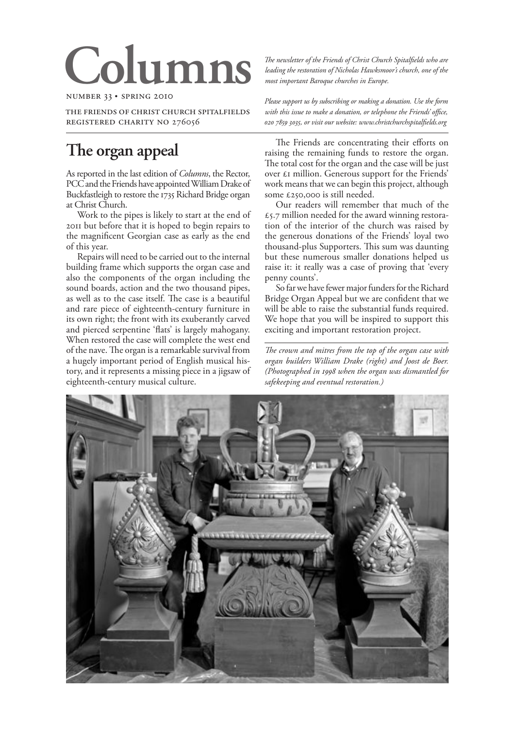# **Columns**

NUMBER 33 · SPRING 2010

THE FRIENDS OF CHRIST CHURCH SPITALFIELDS REGISTERED CHARITY NO 276056

## **The organ appeal**

As reported in the last edition of *Columns*, the Rector, PCC and the Friends have appointed William Drake of Buckfastleigh to restore the 1735 Richard Bridge organ at Christ Church.

Work to the pipes is likely to start at the end of but before that it is hoped to begin repairs to the magnificent Georgian case as early as the end of this year.

Repairs will need to be carried out to the internal building frame which supports the organ case and also the components of the organ including the sound boards, action and the two thousand pipes, as well as to the case itself. The case is a beautiful and rare piece of eighteenth-century furniture in its own right; the front with its exuberantly carved and pierced serpentine 'flats' is largely mahogany. When restored the case will complete the west end of the nave. The organ is a remarkable survival from a hugely important period of English musical history, and it represents a missing piece in a jigsaw of eighteenth-century musical culture.

*!e newsletter of the Friends of Christ Church Spitalfields who are leading the restoration of Nicholas Hawksmoor's church, one of the most important Baroque churches in Europe.*

*Please support us by subscribing or making a donation. Use the form with this issue to make a donation, or telephone the Friends' office, , or visit our website: www.christchurchspitalfields.org*

The Friends are concentrating their efforts on raising the remaining funds to restore the organ. The total cost for the organ and the case will be just over  $\epsilon$ I million. Generous support for the Friends' work means that we can begin this project, although some £250,000 is still needed.

Our readers will remember that much of the  $\epsilon$ 5.7 million needed for the award winning restoration of the interior of the church was raised by the generous donations of the Friends' loyal two thousand-plus Supporters. This sum was daunting but these numerous smaller donations helped us raise it: it really was a case of proving that 'every penny counts'.

So far we have fewer major funders for the Richard Bridge Organ Appeal but we are confident that we will be able to raise the substantial funds required. We hope that you will be inspired to support this exciting and important restoration project.

The crown and mitres from the top of the organ case with *organ builders William Drake (right) and Joost de Boer. (Photographed in 1998 when the organ was dismantled for safekeeping and eventual restoration.)*

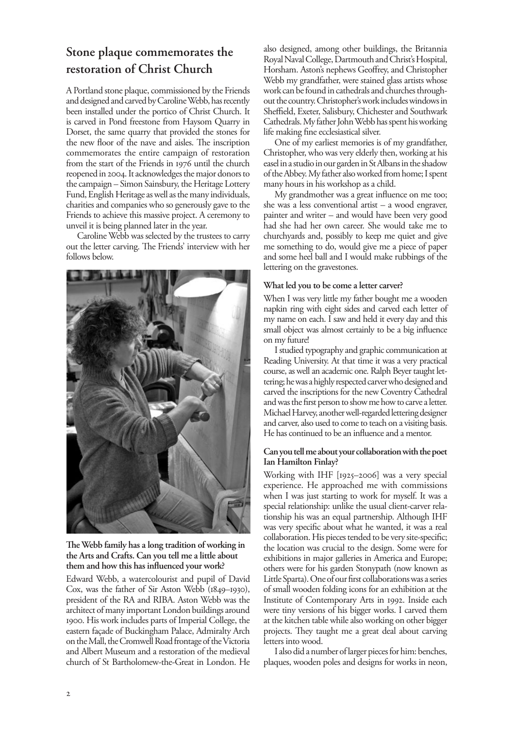### **Stone plaque commemorates the restoration of Christ Church**

A Portland stone plaque, commissioned by the Friends and designed and carved by Caroline Webb, has recently been installed under the portico of Christ Church. It is carved in Pond freestone from Haysom Quarry in Dorset, the same quarry that provided the stones for the new floor of the nave and aisles. The inscription commemorates the entire campaign of restoration from the start of the Friends in 1976 until the church reopened in 2004. It acknowledges the major donors to the campaign – Simon Sainsbury, the Heritage Lottery Fund, English Heritage as well as the many individuals, charities and companies who so generously gave to the Friends to achieve this massive project. A ceremony to unveil it is being planned later in the year.

Caroline Webb was selected by the trustees to carry out the letter carving. The Friends' interview with her follows below.



The Webb family has a long tradition of working in **the Arts and Crafts. Can you tell me a little about them and how this has influenced your work?**

Edward Webb, a watercolourist and pupil of David Cox, was the father of Sir Aston Webb  $(1849-1930)$ , president of the RA and RIBA. Aston Webb was the architect of many important London buildings around . His work includes parts of Imperial College, the eastern façade of Buckingham Palace, Admiralty Arch on the Mall, the Cromwell Road frontage of the Victoria and Albert Museum and a restoration of the medieval church of St Bartholomew-the-Great in London. He

also designed, among other buildings, the Britannia Royal Naval College, Dartmouth and Christ's Hospital, Horsham. Aston's nephews Geoffrey, and Christopher Webb my grandfather, were stained glass artists whose work can be found in cathedrals and churches throughout the country. Christopher's work includes windows in Sheffield, Exeter, Salisbury, Chichester and Southwark Cathedrals. My father John Webb has spent his working life making fine ecclesiastical silver.

One of my earliest memories is of my grandfather, Christopher, who was very elderly then, working at his easel in a studio in our garden in St Albans in the shadow of the Abbey. My father also worked from home; I spent many hours in his workshop as a child.

My grandmother was a great influence on me too; she was a less conventional artist – a wood engraver, painter and writer – and would have been very good had she had her own career. She would take me to churchyards and, possibly to keep me quiet and give me something to do, would give me a piece of paper and some heel ball and I would make rubbings of the lettering on the gravestones.

#### **What led you to be come a letter carver?**

When I was very little my father bought me a wooden napkin ring with eight sides and carved each letter of my name on each. I saw and held it every day and this small object was almost certainly to be a big influence on my future!

I studied typography and graphic communication at Reading University. At that time it was a very practical course, as well an academic one. Ralph Beyer taught lettering; he was a highly respected carver who designed and carved the inscriptions for the new Coventry Cathedral and was the first person to show me how to carve a letter. Michael Harvey, another well-regarded lettering designer and carver, also used to come to teach on a visiting basis. He has continued to be an influence and a mentor.

#### **Can you tell me about your collaboration with the poet Ian Hamilton Finlay?**

Working with IHF [1925-2006] was a very special experience. He approached me with commissions when I was just starting to work for myself. It was a special relationship: unlike the usual client-carver relationship his was an equal partnership. Although IHF was very specific about what he wanted, it was a real collaboration. His pieces tended to be very site-specific; the location was crucial to the design. Some were for exhibitions in major galleries in America and Europe; others were for his garden Stonypath (now known as Little Sparta). One of our first collaborations was a series of small wooden folding icons for an exhibition at the Institute of Contemporary Arts in 1992. Inside each were tiny versions of his bigger works. I carved them at the kitchen table while also working on other bigger projects. They taught me a great deal about carving letters into wood.

I also did a number of larger pieces for him: benches, plaques, wooden poles and designs for works in neon,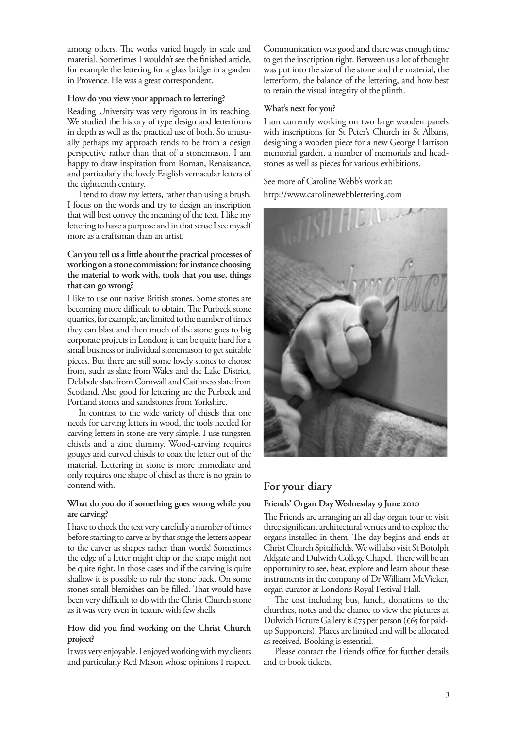among others. The works varied hugely in scale and material. Sometimes I wouldn't see the finished article, for example the lettering for a glass bridge in a garden in Provence. He was a great correspondent.

#### **How do you view your approach to lettering?**

Reading University was very rigorous in its teaching. We studied the history of type design and letterforms in depth as well as the practical use of both. So unusually perhaps my approach tends to be from a design perspective rather than that of a stonemason. I am happy to draw inspiration from Roman, Renaissance, and particularly the lovely English vernacular letters of the eighteenth century.

I tend to draw my letters, rather than using a brush. I focus on the words and try to design an inscription that will best convey the meaning of the text. I like my lettering to have a purpose and in that sense I see myself more as a craftsman than an artist.

#### **Can you tell us a little about the practical processes of working on a stone commission: for instance choosing the material to work with, tools that you use, things that can go wrong?**

I like to use our native British stones. Some stones are becoming more difficult to obtain. The Purbeck stone quarries, for example, are limited to the number of times they can blast and then much of the stone goes to big corporate projects in London; it can be quite hard for a small business or individual stonemason to get suitable pieces. But there are still some lovely stones to choose from, such as slate from Wales and the Lake District, Delabole slate from Cornwall and Caithness slate from Scotland. Also good for lettering are the Purbeck and Portland stones and sandstones from Yorkshire.

In contrast to the wide variety of chisels that one needs for carving letters in wood, the tools needed for carving letters in stone are very simple. I use tungsten chisels and a zinc dummy. Wood-carving requires gouges and curved chisels to coax the letter out of the material. Lettering in stone is more immediate and only requires one shape of chisel as there is no grain to contend with.

#### **What do you do if something goes wrong while you are carving?**

I have to check the text very carefully a number of times before starting to carve as by that stage the letters appear to the carver as shapes rather than words! Sometimes the edge of a letter might chip or the shape might not be quite right. In those cases and if the carving is quite shallow it is possible to rub the stone back. On some stones small blemishes can be filled. That would have been very difficult to do with the Christ Church stone as it was very even in texture with few shells.

#### **How did you find working on the Christ Church project?**

It was very enjoyable. I enjoyed working with my clients and particularly Red Mason whose opinions I respect.

Communication was good and there was enough time to get the inscription right. Between us a lot of thought was put into the size of the stone and the material, the letterform, the balance of the lettering, and how best to retain the visual integrity of the plinth.

#### **What's next for you?**

I am currently working on two large wooden panels with inscriptions for St Peter's Church in St Albans, designing a wooden piece for a new George Harrison memorial garden, a number of memorials and headstones as well as pieces for various exhibitions.

#### See more of Caroline Webb's work at:

http://www.carolinewebblettering.com



#### **For your diary**

#### Friends' Organ Day Wednesday 9 June 2010

The Friends are arranging an all day organ tour to visit three significant architectural venues and to explore the organs installed in them. The day begins and ends at Christ Church Spitalfields. We will also visit St Botolph Aldgate and Dulwich College Chapel. There will be an opportunity to see, hear, explore and learn about these instruments in the company of Dr William McVicker, organ curator at London's Royal Festival Hall.

The cost including bus, lunch, donations to the churches, notes and the chance to view the pictures at Dulwich Picture Gallery is  $\pounds$ 75 per person (£65 for paidup Supporters). Places are limited and will be allocated as received. Booking is essential.

Please contact the Friends office for further details and to book tickets.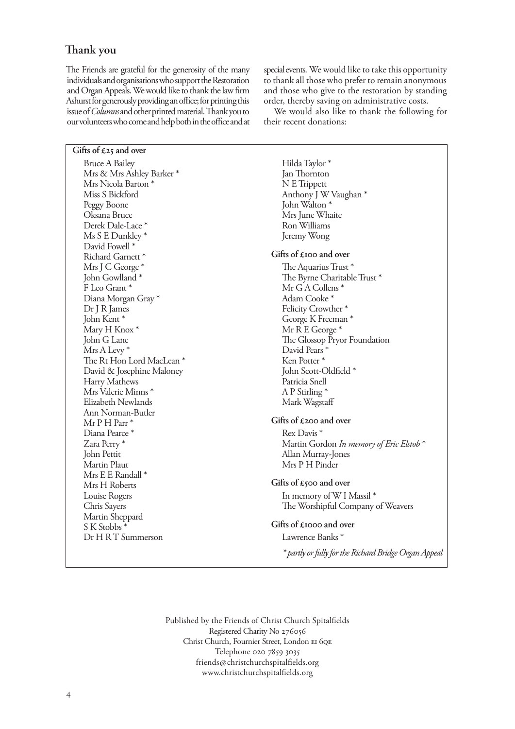#### **!ank you**

The Friends are grateful for the generosity of the many individuals and organisations who support the Restoration and Organ Appeals. We would like to thank the law firm Ashurst for generously providing an office; for printing this issue of *Columns* and other printed material. Thank you to our volunteers who come and help both in the office and at special events. We would like to take this opportunity to thank all those who prefer to remain anonymous and those who give to the restoration by standing order, thereby saving on administrative costs.

We would also like to thank the following for their recent donations:

Gifts of £25 and over Bruce A Bailey Mrs & Mrs Ashley Barker \* Mrs Nicola Barton \* Miss S Bickford Peggy Boone Oksana Bruce Derek Dale-Lace \* Ms S E Dunkley \* David Fowell \* Richard Garnett \* Mrs J C George \* John Gowlland \* F Leo Grant \* Diana Morgan Gray \* Dr J R James John Kent \* Mary H Knox \* John G Lane Mrs A Levy \* The Rt Hon Lord MacLean \* David & Josephine Maloney Harry Mathews Mrs Valerie Minns \* Elizabeth Newlands Ann Norman-Butler Mr P H Parr \* Diana Pearce \* Zara Perry \* John Pettit Martin Plaut Mrs E E Randall \* Mrs H Roberts Louise Rogers Chris Sayers Martin Sheppard S K Stobbs \* Dr H R T Summerson

Hilda Taylor \* Jan Thornton N E Trippett Anthony J W Vaughan \* John Walton \* Mrs June Whaite Ron Williams Jeremy Wong

#### Gifts of £100 and over

The Aquarius Trust \* The Byrne Charitable Trust \* Mr G A Collens \* Adam Cooke \* Felicity Crowther \* George K Freeman \* Mr R E George \* The Glossop Pryor Foundation David Pears \* Ken Potter \* John Scott-Oldfield \* Patricia Snell A P Stirling \* Mark Wagstaff

#### Gifts of £200 and over

Rex Davis \* Martin Gordon *In memory of Eric Elstob* \* Allan Murray-Jones Mrs P H Pinder

#### Gifts of £500 and over

In memory of W I Massil \* The Worshipful Company of Weavers

#### Gifts of £1000 and over

Lawrence Banks \*

*\* partly or fully for the Richard Bridge Organ Appeal*

Published by the Friends of Christ Church Spitalfields Registered Charity No Christ Church, Fournier Street, London EI 60E Telephone 020 7859 3035 friends@christchurchspitalfields.org www.christchurchspitalfields.org